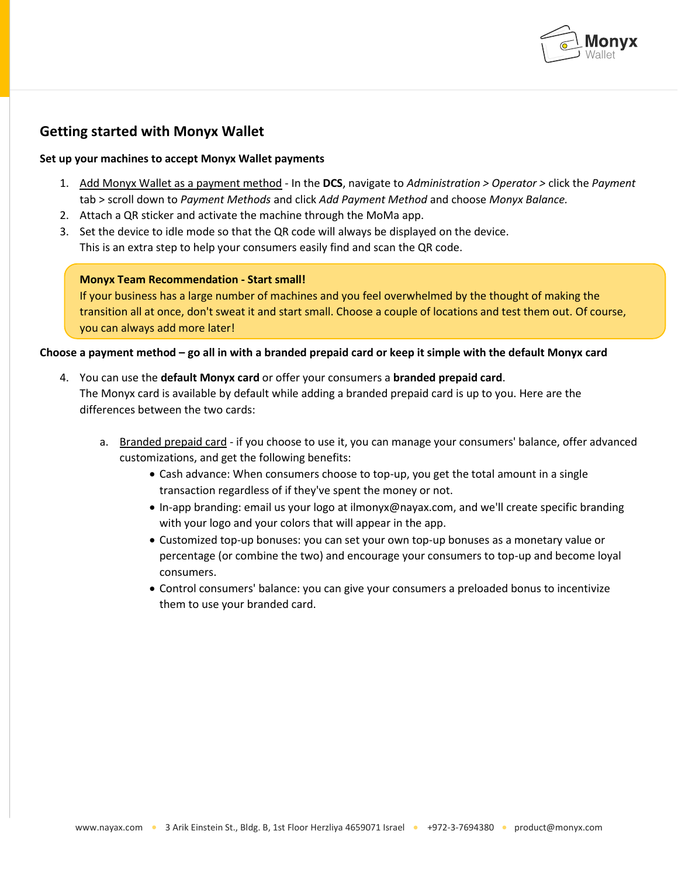

# **Getting started with Monyx Wallet**

## **Set up your machines to accept Monyx Wallet payments**

- 1. Add Monyx Wallet as a payment method In the **DCS**, navigate to *Administration > Operator >* click the *Payment*  tab > scroll down to *Payment Methods* and click *Add Payment Method* and choose *Monyx Balance.*
- 2. Attach a QR sticker and activate the machine through the MoMa app.
- 3. Set the device to idle mode so that the QR code will always be displayed on the device. This is an extra step to help your consumers easily find and scan the QR code.

## **Monyx Team Recommendation - Start small!**

If your business has a large number of machines and you feel overwhelmed by the thought of making the transition all at once, don't sweat it and start small. Choose a couple of locations and test them out. Of course, you can always add more later!

## **Choose a payment method – go all in with a branded prepaid card or keep it simple with the default Monyx card**

- 4. You can use the **default Monyx card** or offer your consumers a **branded prepaid card**. The Monyx card is available by default while adding a branded prepaid card is up to you. Here are the differences between the two cards:
	- a. Branded prepaid card if you choose to use it, you can manage your consumers' balance, offer advanced customizations, and get the following benefits:
		- Cash advance: When consumers choose to top-up, you get the total amount in a single transaction regardless of if they've spent the money or not.
		- In-app branding: email us your logo at ilmonyx@nayax.com, and we'll create specific branding with your logo and your colors that will appear in the app.
		- Customized top-up bonuses: you can set your own top-up bonuses as a monetary value or percentage (or combine the two) and encourage your consumers to top-up and become loyal consumers.
		- Control consumers' balance: you can give your consumers a preloaded bonus to incentivize them to use your branded card.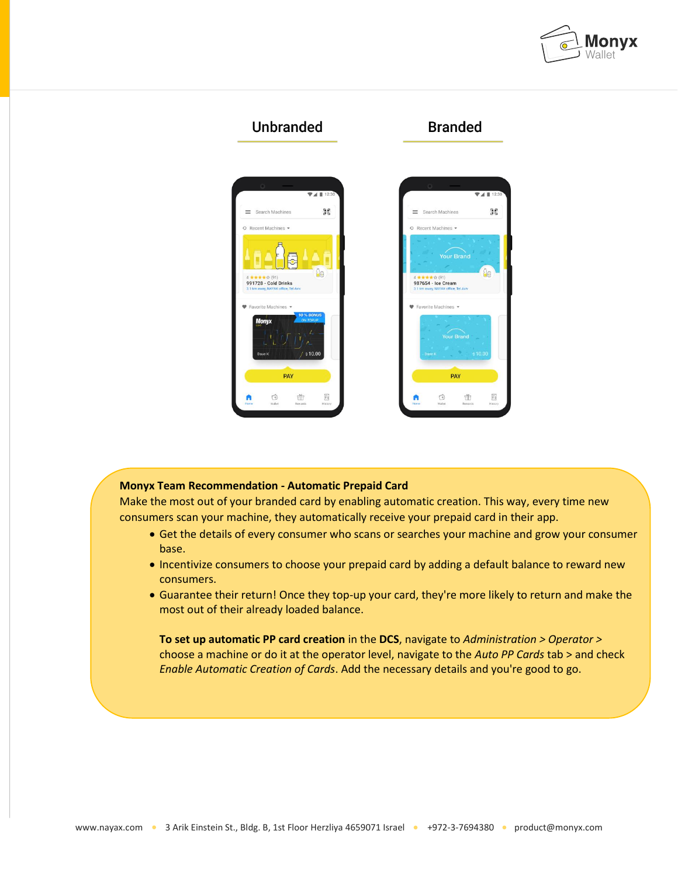



#### **Monyx Team Recommendation - Automatic Prepaid Card**

Make the most out of your branded card by enabling automatic creation. This way, every time new consumers scan your machine, they automatically receive your prepaid card in their app.

- Get the details of every consumer who scans or searches your machine and grow your consumer base.
- Incentivize consumers to choose your prepaid card by adding a default balance to reward new consumers.
- Guarantee their return! Once they top-up your card, they're more likely to return and make the most out of their already loaded balance.

**To set up automatic PP card creation** in the **DCS**, navigate to *Administration > Operator >*  choose a machine or do it at the operator level, navigate to the *Auto PP Cards* tab > and check *Enable Automatic Creation of Cards*. Add the necessary details and you're good to go.